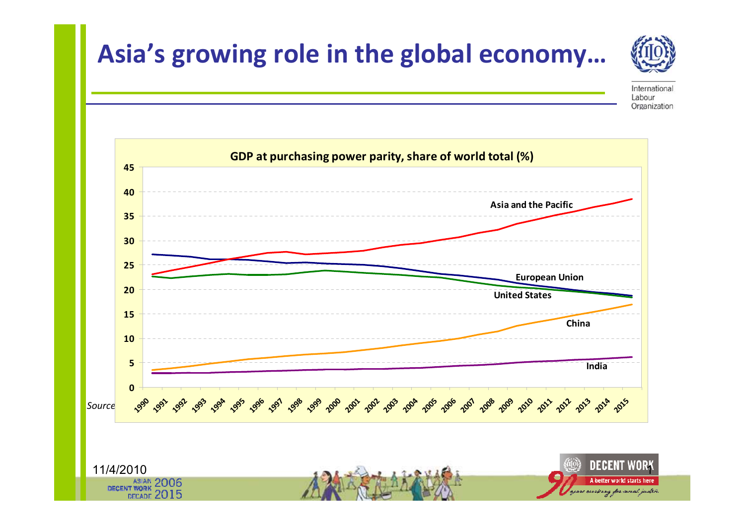



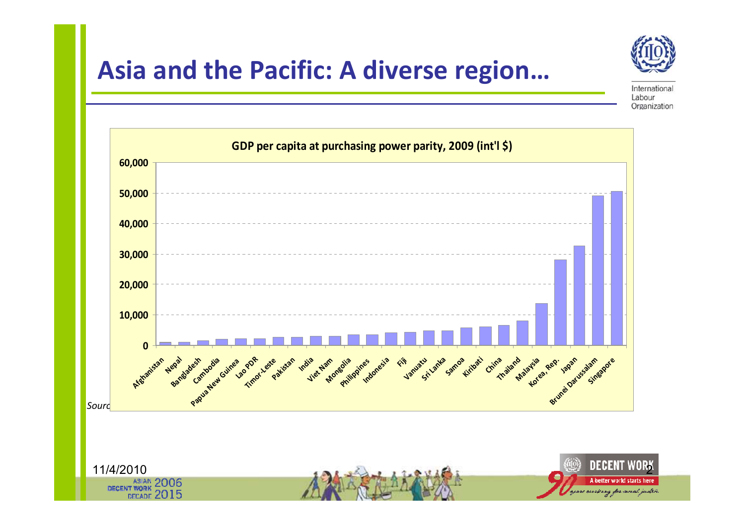



International Labour Organization

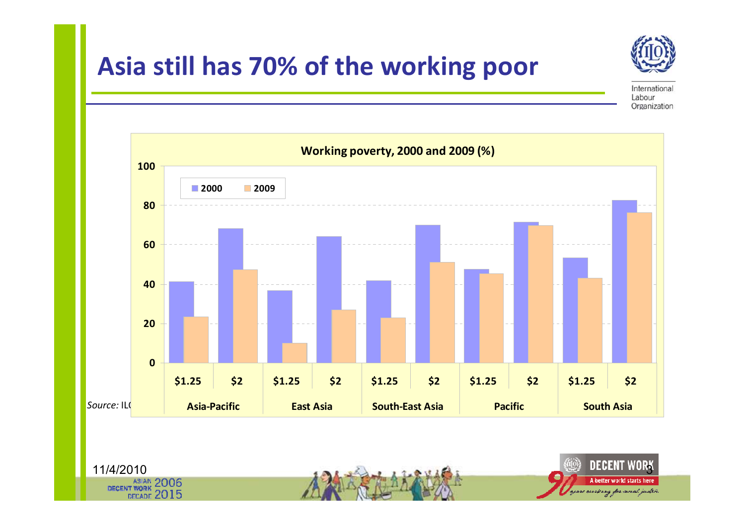



International Labour Organization

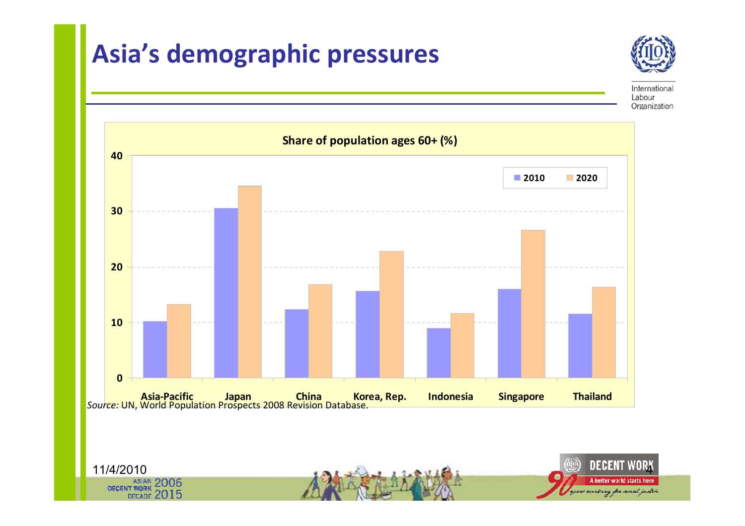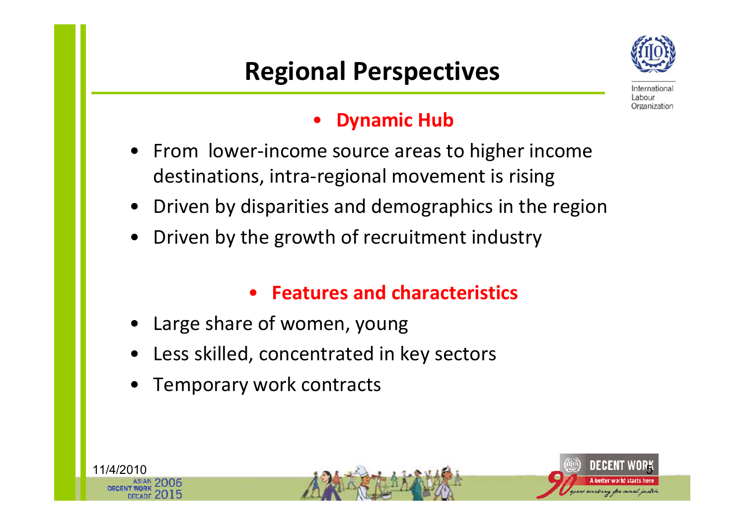## Regional Perspectives



Internationa Labour Organization

#### •Dynamic Hub

- • From lower-income source areas to higher income destinations, intra-regional movement is rising
- •Driven by disparities and demographics in the region
- •Driven by the growth of recruitment industry

### • Features and characteristics

- •Large share of women, young
- •Less skilled, concentrated in key sectors
- •Temporary work contracts

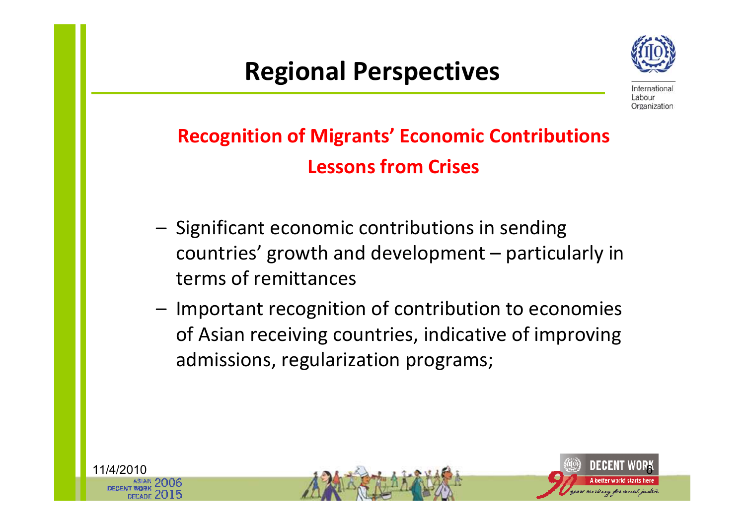## Regional Perspectives



Internations Labour Organization

### Recognition of Migrants' Economic Contributions Lessons from Crises

- Significant economic contributions in sending countries' growth and development – particularly in terms of remittances
- – Important recognition of contribution to economies of Asian receiving countries, indicative of improving admissions, regularization programs;

11/4/2010

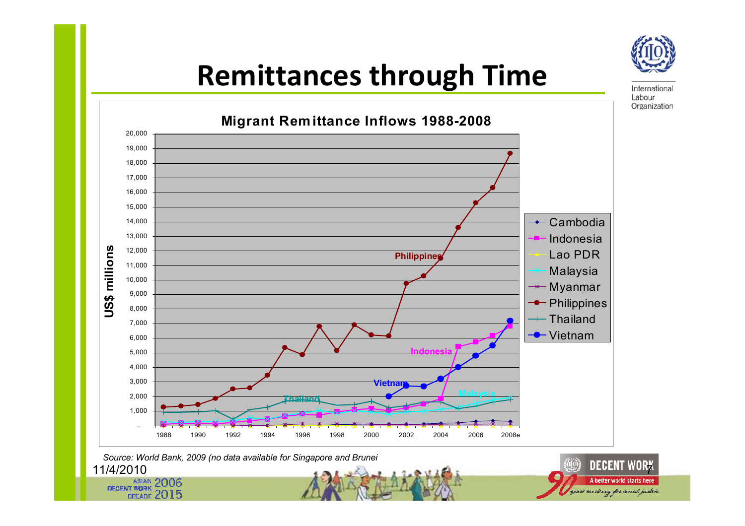

International Labour Organization

# Remittances through Time



11/4/2010Source: World Bank, 2009 (no data available for Singapore and Brunei

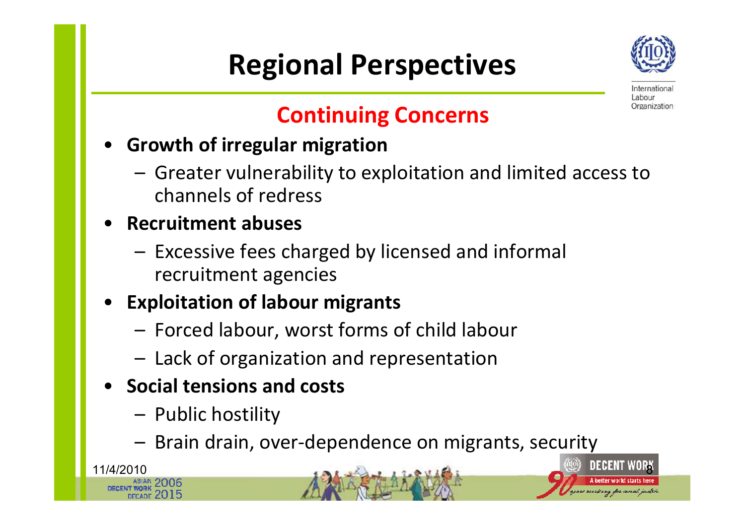# Regional Perspectives



Internationa Labour Organization

### Continuing Concerns

- • Growth of irregular migration
	- Greater vulnerability to exploitation and limited access to channels of redress
- Recruitment abuses
	- Excessive fees charged by licensed and informal recruitment agencies
- • Exploitation of labour migrants
	- Forced labour, worst forms of child labour
	- Lack of organization and representation
- Social tensions and costs
	- –Public hostility

11/4/2010

–Brain drain, over-dependence on migrants, security

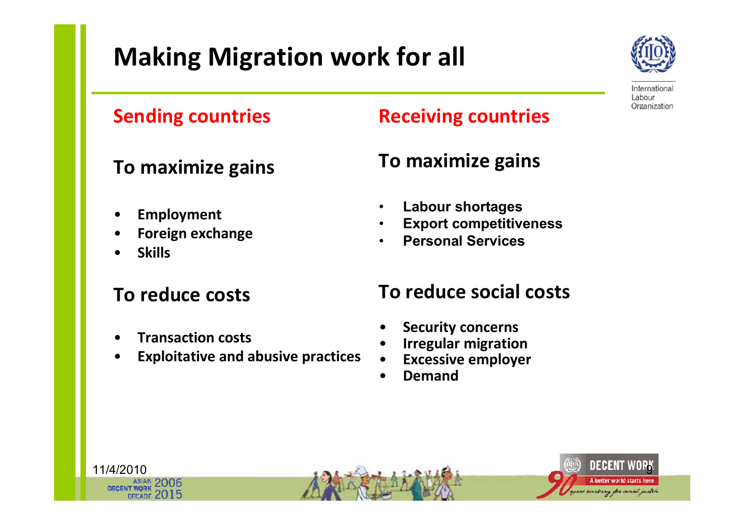# Making Migration work for all



International Labour Organization

#### Sending countries

#### To maximize gains

- •Employment
- •Foreign exchange
- •Skills

11/4/2010

#### To reduce costs

- •Transaction costs
- •Exploitative and abusive practices

#### Receiving countries

### To maximize gains

- •Labour shortages
- •Export competitiveness
- •Personal Services

#### To reduce social costs

- •Security concerns
- •Irregular migration
- Excessive employer •
- •Demand

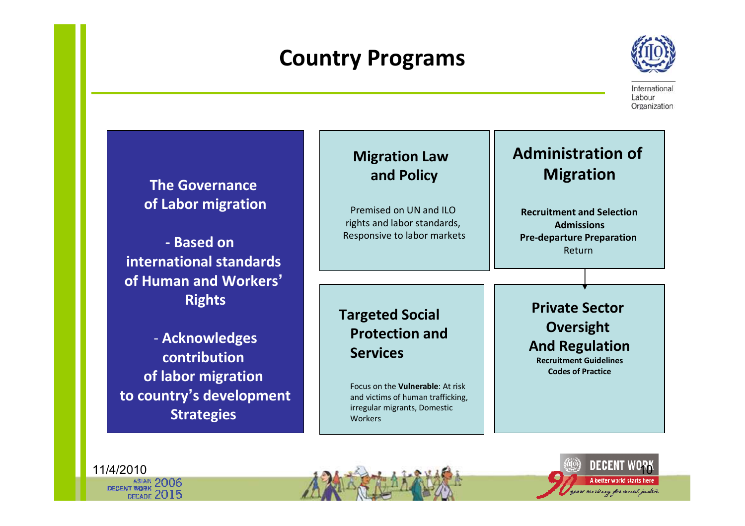### Country Programs



International Labour Organization

| <b>The Governance</b>    | <b>Migration Law</b><br>and Policy                                           |
|--------------------------|------------------------------------------------------------------------------|
| of Labor migration       | Premised on UN and ILO<br>rights and labor standards,                        |
| - Based on               | Responsive to labor markets                                                  |
| international standards  |                                                                              |
| of Human and Workers'    |                                                                              |
| <b>Rights</b>            |                                                                              |
|                          | <b>Targeted Social</b>                                                       |
| - Acknowledges           | <b>Protection and</b>                                                        |
| contribution             | <b>Services</b>                                                              |
| of labor migration       |                                                                              |
| to country's development | Focus on the <b>Vulnerable:</b> At risk<br>and victims of human trafficking, |
| <b>Strategies</b>        | irregular migrants, Domestic<br>Workers                                      |

#### Administration of Migration

Recruitment and SelectionAdmissions Pre-departure Preparation Return

Private Sector Oversight And RegulationRecruitment Guidelines

Codes of Practice

11/4/2010